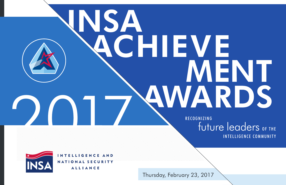# **INSA** CHIEVE MENT AWARDS

RECOGNIZING future leaders OF THE INTELLIGENCE COMMUNITY



INTELLIGENCE AND NATIONAL SECURITY **ALLIANCE** 

Thursday, February 23, 2017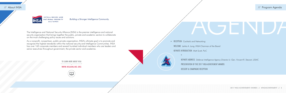2017 INSA ACHIEVEMENT AWARDS // #INSAACHIEVEMENT // 3

// Program Agenda

RECEPTION *Cocktails and Networking* WELCOME *Letitia A. Long, INSA Chairman of the Board* KEYNOTE INTRODUCTION *Matt Scott, PwC*

> KEYNOTE ADDRESS *Defense Intelligence Agency Director Lt. Gen. Vincent R. Stewart, USMC* PRESENTATION OF THE 2017 INSA ACHIEVEMENT AWARDS DESSERT & CHAMPAGNE RECEPTION

The Intelligence and National Security Alliance (INSA) is the premier intelligence and national security organization that brings together the public, private and academic sectors to collaborate on the most challenging policy issues and solutions.



As a nonprofit, nonpartisan, public-private organization, INSA's ultimate goal is to promote and recognize the highest standards within the national security and Intelligence Communities. INSA has over 160 corporate members and several hundred individual members who are leaders and senior executives throughout government, the private sector and academia.



WWW.INSAONLINE.ORG



TO LEARN MORE ABOUT INSA

*Building a Stronger Intelligence Community.*

# // About INSA

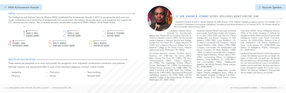#### PURPOSE

The Intelligence and National Security Alliance (INSA) established the Achievement Awards in 2010 to recognize the early and midcareer contributions and mentorship of professionals from government, the military, the private sector, and academia who support the U.S. national security mission. The six awards are each named after recipients of INSA's William Oliver Baker Award.

#### OBJECTIVE AND SELECTION CRITERIA

These awards are presented as an early and possibly first recognition of an individual's professional contribution and potential. Although missions and requirements differ in each of the individual categories, common criteria include:

- Leadership
- Influence
- Proficiency
- Values
- Team-building
- Personal Skills



# LT. GEN. VINCENT R. STEWART DEFENSE INTELLIGENCE AGENCY DIRECTOR, USMC



Lieutenant General Vincent R. Stewart became the 20th Director of the Defense Intelligence Agency and the Commander, Joint Functional Component Command for Intelligence, Surveillance and Reconnaissance on 23 January 2015. He formerly served as the Commander, Marine Forces Cyber.

Lieutenant General Stewart received his baccalaureate

degree from Western Illinois University, Macomb, IL, where he majored in History (1981). He also earned master's degrees in National Security and Strategic Studies from the Naval War College, Newport, RI (1995) and in National Resource Strategy from the Industrial College of the Armed Forces, National Defense University, Washington, DC (2002).

His military education includes: The Basic School, Quantico, VA, (1981-82); The Armor Officer Basic Course, Fort Knox, KY, (1982); The Basic Communications Officer Course, Quantico, VA, (1985); The Cryptologic Division Officer's Course, Washington, DC, (1986); The Amphibious Warfare School, Quantico, VA, (1988-1989); The Naval Command and Staff, Naval War College, Newport, RI, (1994-1995); The School of Advanced Warfighting, Quantico, VA, (1995-1996); and The Industrial College of the Armed Forces, Ft. McNair Washington, DC, (2001-2002).

Lieutenant General Stewart's principal command tours include: Tank Platoon Leader with Company A, 1st Tank (1982-1983) and Executive Officer, Headquarters and Service Company, 1st Tank Battalion (1984-1985) Camp Pendleton, CA; Company Commander with Company I, Marine Support Battalion, Adak, Alaska, (1986-1988); Company Commander with Headquarters and Service Company, 2d Radio Battalion (1989- 1990); Company Commander with Company E, Marine Support Battalion, Misawa Japan (1992- 1994); Commanding Officer, 1st Intelligence Battalion, Camp Pendleton, CA, (1999-2001); and Commanding Officer, Headquarters Battalion, 2d Marine Division, Camp Lejeune, NC, (2006-2008).

Recent principal staff assignments include: Deputy Director, Intelligence Policy, Office of the Assistant Secretary of Defense, C3I (2001- 2002); Deputy G-2, Marine Forces Central Command (2002); Senior Intelligence Planner, Office of the Under Secretary of Defense for Intelligence (2002-2005); Assistant Chief of Staff, Intelligence, Marine Corps Forces Command, Norfolk, VA, (2005-2006); Assistant Chief of Staff, Intelligence, 2nd Marine Expeditionary Force, Camp Lejeune, NC, (2008-2009); and Director of Intelligence, HQMC, Washington, DC, (2009-2013).

Lieutenant General Stewart's military decorations include: the Defense Superior Service Medal; the Legion of Merit with one gold star; the Bronze Star; the Meritorious Service Medal with one gold star; the Navy and Marine Corps Commendation Medal, with two gold stars; the Navy and Marine Corps Achievement Medal; the Combat Action Ribbon; the National Intelligence Distinguished Service Medal; and various unit awards.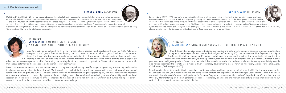**EDWIN H. LAND INDUSTRY AWAR** 

# SARA JAMSHIDI GRADUATE RESEARCH ASSISTANT, PENN STATE UNIVERSITY – APPLIED RESEARCH LABORATORY 2017 RECIPIENT:

Dr. Sidney D. Drell (1926 - 2016) was a groundbreaking theoretical physicist, passionate arms control champion, and trusted government advisor who helped shape U.S. policies on nuclear deterrence and nonproliferation at the start of the Cold War. He is also recognized as one of the founders of satellite reconnaissance as a space discipline. Dr. Drell's wide-ranging technical expertise informed the national security policies of U.S. presidents for more than 50 years. He served on the President's Science Advisory Committee under Lyndon Johnson and Richard Nixon during the Vietnam War and on the Intelligence Advisory Board for President Bill Clinton. He also served on or chaired numerous panels advising Congress, the military and the Intelligence Community.



Ms. Jamshidi has contributed richly to the transdisciplinary research and development team for ARL's Autonomy, Perception and Cognition Department, helping pursue a revolutionary approach of cognitively advanced autonomous systems. She is not only developing a fundamental understanding of how neural networks work, but how to build them in a 'sparsely supervised' or 'weakly reinforced' manner. Her work is fundamental to the team's effort to enable cognitively advanced autonomous systems capable of reasoning and making decisions in real-world applications. The technical merit of such work holds tremendous potential for the intelligence and national security communities.

Beyond her domain expertise in abstract mathematics and category theory addressing the difficult symbol grounding problem required to make intelligent, reasoning systems in the real world, Ms. Jamshidi has enriched the team with leadership qualities expected more of top tenured faculty than a senior graduate student. She leads diverse teams of mathematicians, cognitive psychologists, computer scientists and engineers of various disciplines with a personally approachable and unifying personality, significantly contributing to teams' capability to address hard research questions. Sara continues to bring connections to the research group well beyond the University and nurture the type of diverse research partnerships that are required to address national security challenges.



# // INSA Achievement Awards

# SIDNEY D. DRELL ACADEMIC AWARD

# MANDY ROGERS SYSTEMS ENGINEERING ASSOCIATE, NORTHROP GRUMMAN CORPORATION



2017 RECIPIENT:

Edwin H. Land (1909 - 1991) was an American scientist and inventor whose contributions to the fields of light polarization and photography revolutionized American culture as well as intelligence gathering. Mr. Land's pioneering research led to the development of the Polaroid film an invention that would lead him to co-found what would become the Polaroid Corporation. Mr. Land and his company developed several tools for the U.S. military leading up to and during World War II, including an early version of night-vision goggles and the Vectograph, a viewing system that revealed enemy camouflage in aerial photography. Mr. Land and Polaroid also spearheaded aerial reconnaissance at the start of the Cold War, playing a major role in the development of the Lockheed U-2 spy plane and the first spy satellites.



Mandy Rogers has applied advanced mission engineering and software development concepts to enable greater data integration and analytic efficiency across the Intelligence Community (IC). She implemented User Experience and Agile Development techniques to engage IC analysts and pioneer technical transformations that dramatically reduced the time

needed to accomplish certain analytic tasks. Specifically, Mandy's leadership on programs to help Northrop Grumman mission partners create intelligence products faster and more reliably has saved thousands of man-hours while also improving data fidelity. Mandy also helped spearhead the formation of a mission-driven technology development process known as Innovation, Mission, Partnership, Agile, Collaboration, Technology (IMPACT).

Mandy continually seeks opportunities to understand and improve data, workflow and methodologies for the IC. She is widely respected for her dedication to analysis modernization and her ability to demonstrate new capabilities to disadvantaged users. Mandy is also a mentor to students in the Advanced Cybersecurity Experience for Students Program at University of Maryland – College Park and Christopher Newport University. Her mentorship of the next generation of science, technology, engineering and mathematics (STEM) professionals is critical to our nation's ability to recruit and train top technical talent.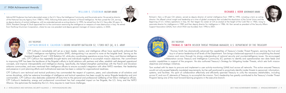# // INSA Achievement Awards

#### WILLIAM O. STUDEMAN MILITARY AWARD

# CAPTAIN BRIGID K. CALHOUN 1-503RD INFANTRY BATTALION S2, 173RD IBCT (A), U.S. ARMY

# 2017 RECIPIENT:

Admiral Bill Studeman has had a decorated career in the U.S. Navy, the Intelligence Community, and the private sector. He served as director of the National Security Agency from 1988 to 1992, following three years as director of Naval Intelligence. He then joined the CIA, serving as deputy director of central intelligence, with two extended periods as acting director. In 1995, he retired from the U.S. Navy after 32 years. In 2004, President George W. Bush appointed him to the commission examining the intelligence on weapons of mass destruction in Iraq. He retired from Northrop Grumman Corporation, where he was vice president and deputy general manager of mission systems, in 2005.



CPT Calhoun's remarkable skill set as a team leader, mentor, and intelligence officer have significantly enhanced the 173rd's intelligence war-fighting function (IWfF), distinguishing it as second to none at the brigade level. Serving as the Assistant Brigade S2 and 1-503 Battalion S2, while also coordinating operations across Army, Navy, and Marine intelligence cells, CPT Calhoun has repeatedly brought teams and individuals together to accomplish mission objectives. Her commitment

to improving IWfF has been the backbone of the Brigade's efforts to build relations with partners and allies, establish well-designed operational concepts, and improve interoperability and intelligence sharing. Specifically, she helped strengthen partnerships with the French and Slovakian airborne communities, and even mentored their intelligence officers to ensure successful integration with other NATO members. Her leadership and presence in joint planning efforts and multinational exercises has been a catalyst for organizational readiness.

CPT Calhoun's own technical and tactical proficiency has commanded the respect of superiors, peers, and subordinates at all echelons and across disciplines, while her extensive knowledge of intelligence and tactical operations has been sought by senior Brigade leadership and joint commanders. CPT Calhoun also dedicates substantial off-duty time to the personal and professional wellbeing of her fellow intelligence officers. CPT Calhoun's leadership, energy and professional commitment has had unequaled impact on her Brigade, the U.S. Army, and the NATO Alliance. She epitomizes the leadership the U.S. Army requires to meet future challenges.



# THOMAS D. SMITH INSIDER THREAT PROGRAM MANAGER, U.S. DEPARTMENT OF THE TREASURY 2017 RECIPIENT:

Richard J. Kerr, a 32-year CIA veteran, served as deputy director of central intelligence from 1989 to 1992, including a term as acting director. He offered critical insight and leadership at a time of global uncertainty that included the dissolution of the Soviet Union and the beginning of U.S. military operations in Iraq. Mr. Kerr began his career at CIA as analyst at the height of the Cold War in 1960, rising to associate director for intelligence in 1982 and then deputy director for intelligence in 1986. Mr. Kerr served as president of the Security Affairs Support Association (SASA), from which INSA was founded, from 1996 to 2001.



Thomas Smith has dramatically advanced the capabilities of Treasury's Insider Threat Program, earning the trust and buy-in of senior leadership at all levels of the Department. Tom brings a balanced approach to accomplishing the shared mission and vision through his strong understanding of national security and counterintelligence issues. He encouraged

collaboration across Treasury and Intelligence Community (IC) partners to identify and operationalize new data feeds and analytic capabilities in support of the program. He also authored Treasury's Strategy for Mitigating Insider Threats, which sets forth mission objectives and strategic initiatives.

Tom worked with his team to procure and implement a user activity-monitoring (UAM) tool across all networks. This action ensured Treasury would not only exceed federally mandated requirements, but be well positioned to proactively identify insider threats to personnel, information, systems, and facilities. His spirit of collaboration effectively and efficiently spanned Treasury to unify the necessary stakeholders, including across IC and non-IC elements of Treasury, to accomplish the mission. Tom's leadership has greatly contributed to the Treasury's Insider Threat Program being one of the most forward-leaning programs in the executive branch.

RICHARD J. KERR GOVERNMENT AWAR

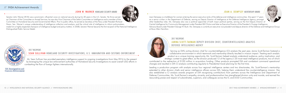Senator John Warner (R-VA) was a prominent, influential voice on national security during his 30 years in the U.S. Senate. He thrice served as Chairman of the Committee on Armed Services; he was also Vice Chairman of the Select Committee on Intelligence and a member of the Committee on Homeland Security and Governmental Affairs. Prior to public office, he served as Secretary of the Navy under President Richard Nixon. Sen. Warner's unique understanding of intelligence collection and analysis, and the critical role of intelligence to inform policymakers, made him a highly respected champion of intelligence budget and policy matters. In 2008, Senator Warner became the first recipient of the National Intelligence



Distinguished Public Service Medal.

# JOHN W. WARNER HOMELAND SECURITY AWARD

Mr. Sean Sullivan has provided exemplary intelligence support to ongoing investigations from May 2016 to the present by leveraging the unique law enforcement authorities of Homeland Security Investigations to assist overall USG efforts in combatting the flow of foreign fighters internationally.

U.S. Immigration and **Customs Enforcement** 

# // INSA Achievement Awards

# JANNA SCOTT-TARMAN DEPUTY DIVISION CHIEF, COUNTERINTELLIGENCE ANALYSIS

DEFENSE INTELLIGENCE AGENCY 2017 RECIPIENT:

Joan Dempsey is a trailblazer for women entering the senior executive ranks of the defense and intelligence communities. She spent 17 years as a senior civilian in the Department of Defense, serving as Deputy Director of Intelligence at the Defense Intelligence Agency, amongst other leadership roles. Ms. Dempsey also was a political appointee of both major political parties, serving as the first Deputy Director of Central Intelligence for Community Management under President Bill Clinton and later as Executive Director of the President's Foreign Intelligence Advisory Board under President George W. Bush. Ms. Dempsey is currently an executive vice president and deputy director of the Defense and Intelligence Group at Booz Allen Hamilton.



Serving as DIA's acting division chief for counterintelligence (CI) analysis the past year, Janna Scott-Tarman fostered a collaborative environment in which teamwork and mentorship directly resulted in mission impact. Treating each analytic product as a unique training opportunity, Ms. Scott-Tarman helped analysts understand audience, policy implication, and

strategic context to great effect, as the division produced 12 of the agency's 20 most-read intelligence products, two of which contributed to the redirection of \$100 million in acquisition funding. Other products prompted DIA and combatant command operational changes and resulted in DIA CI analysis contributing regularly to Presidential travel planning for the first time.

Leading a production program with analysts across four regional intelligence centers and two directorates, Ms. Scott-Tarman's mentorship extended to other division chiefs and senior intelligence officers across DIA, helping them understand the counterintelligence mission. She also established a CI analysis awards program at DIA recognizing contributions from partners across the Intelligence and Department of Defense Communities. Ms. Scott-Tarman's empathy, sincerity, and professionalism has strengthened division unity and morale, and earned the resounding praise and respect of subordinates, superiors, and colleagues across the IC and DOD Communities.



JOAN A. DEMPSEY MENTORSHIP AWARD

## SEAN SULLIVAN HOMELAND SECURITY INVESTIGATIONS, U.S. IMMIGRATION AND CUSTOMS ENFORCEMENT

#### 2017 RECIPIENT: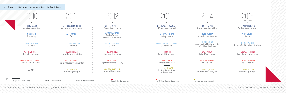12 // INTELLIGENCE AND NATIONAL SECURITY ALLIANCE // WWW.INSAONLINE.ORG



DR. SATYABRATA SEN Oak Ridge National Laboratory

#### // Previous INSA Achievement Awards Recipients

CYNTHIA M. EPLER Defense Intelligence Agency



CANDACE P. SHARKEY Drug Enforcement Administration

ZALENDA CYRILLE Vencore



LT. JARED McGUIRE U.S. Coast Guard Cryptologic Unit Colorado

> ROBERT A. LAGNADO U.S. Secret Service

*\*2015 - 2016*

2017 INSA ACHIEVEMENT AWARDS // #INSAACHIEVEMENT // 13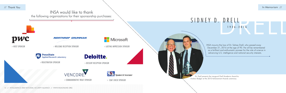// Thank You



DRELL<br>1926-2016 SIDNEY D. DRELL

> INSA mourns the loss of Dr. Sidney Drell, who passed away December 21, 2016 at the age of 90. He will be remembered as a brilliant and enthusiastic pioneer for the role of science in advancing U.S. intelligence and national security interests.

*Dr. Drell presents the inaugural Drell Academic Award to Andrew Badger at the 2010 Achievement Awards ceremony.*